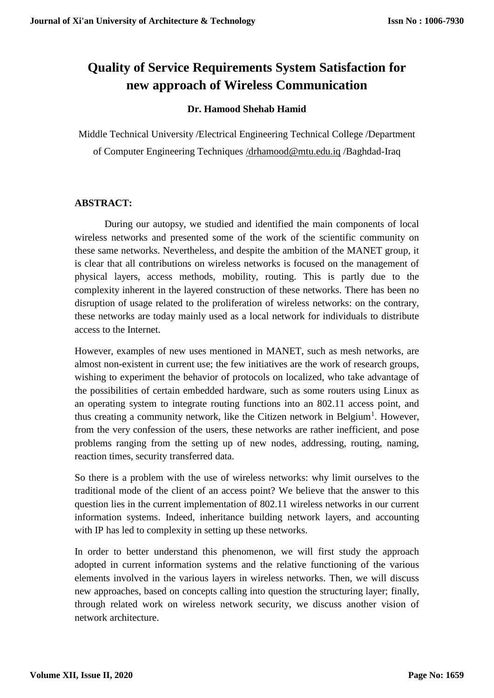# **Quality of Service Requirements System Satisfaction for new approach of Wireless Communication**

# **Dr. Hamood Shehab Hamid**

Middle Technical University /Electrical Engineering Technical College /Department of Computer Engineering Techniques [/drhamood@mtu.edu.iq](mailto:/drhamood@mtu.edu.iq) /Baghdad-Iraq

# **ABSTRACT:**

During our autopsy, we studied and identified the main components of local wireless networks and presented some of the work of the scientific community on these same networks. Nevertheless, and despite the ambition of the MANET group, it is clear that all contributions on wireless networks is focused on the management of physical layers, access methods, mobility, routing. This is partly due to the complexity inherent in the layered construction of these networks. There has been no disruption of usage related to the proliferation of wireless networks: on the contrary, these networks are today mainly used as a local network for individuals to distribute access to the Internet.

However, examples of new uses mentioned in MANET, such as mesh networks, are almost non-existent in current use; the few initiatives are the work of research groups, wishing to experiment the behavior of protocols on localized, who take advantage of the possibilities of certain embedded hardware, such as some routers using Linux as an operating system to integrate routing functions into an 802.11 access point, and thus creating a community network, like the Citizen network in Belgium<sup>1</sup>. However, from the very confession of the users, these networks are rather inefficient, and pose problems ranging from the setting up of new nodes, addressing, routing, naming, reaction times, security transferred data.

So there is a problem with the use of wireless networks: why limit ourselves to the traditional mode of the client of an access point? We believe that the answer to this question lies in the current implementation of 802.11 wireless networks in our current information systems. Indeed, inheritance building network layers, and accounting with IP has led to complexity in setting up these networks.

In order to better understand this phenomenon, we will first study the approach adopted in current information systems and the relative functioning of the various elements involved in the various layers in wireless networks. Then, we will discuss new approaches, based on concepts calling into question the structuring layer; finally, through related work on wireless network security, we discuss another vision of network architecture.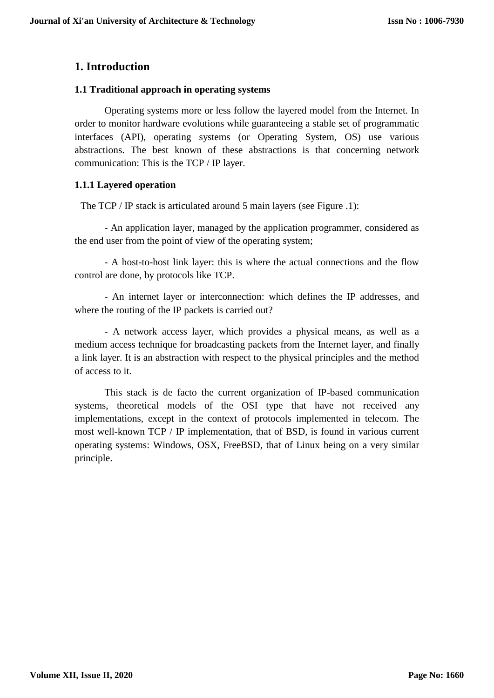# **1. Introduction**

## **1.1 Traditional approach in operating systems**

Operating systems more or less follow the layered model from the Internet. In order to monitor hardware evolutions while guaranteeing a stable set of programmatic interfaces (API), operating systems (or Operating System, OS) use various abstractions. The best known of these abstractions is that concerning network communication: This is the TCP / IP layer.

## **1.1.1 Layered operation**

The TCP / IP stack is articulated around 5 main layers (see Figure .1):

- An application layer, managed by the application programmer, considered as the end user from the point of view of the operating system;

- A host-to-host link layer: this is where the actual connections and the flow control are done, by protocols like TCP.

- An internet layer or interconnection: which defines the IP addresses, and where the routing of the IP packets is carried out?

- A network access layer, which provides a physical means, as well as a medium access technique for broadcasting packets from the Internet layer, and finally a link layer. It is an abstraction with respect to the physical principles and the method of access to it.

This stack is de facto the current organization of IP-based communication systems, theoretical models of the OSI type that have not received any implementations, except in the context of protocols implemented in telecom. The most well-known TCP / IP implementation, that of BSD, is found in various current operating systems: Windows, OSX, FreeBSD, that of Linux being on a very similar principle.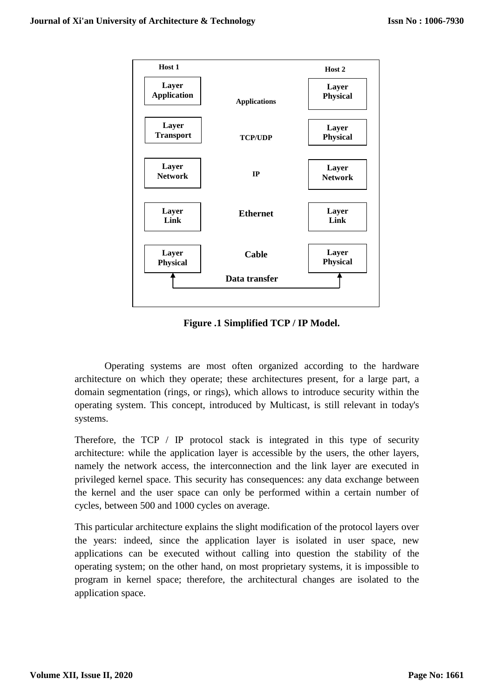

**Figure .1 Simplified TCP / IP Model.**

Operating systems are most often organized according to the hardware architecture on which they operate; these architectures present, for a large part, a domain segmentation (rings, or rings), which allows to introduce security within the operating system. This concept, introduced by Multicast, is still relevant in today's systems.

Therefore, the TCP / IP protocol stack is integrated in this type of security architecture: while the application layer is accessible by the users, the other layers, namely the network access, the interconnection and the link layer are executed in privileged kernel space. This security has consequences: any data exchange between the kernel and the user space can only be performed within a certain number of cycles, between 500 and 1000 cycles on average.

This particular architecture explains the slight modification of the protocol layers over the years: indeed, since the application layer is isolated in user space, new applications can be executed without calling into question the stability of the operating system; on the other hand, on most proprietary systems, it is impossible to program in kernel space; therefore, the architectural changes are isolated to the application space.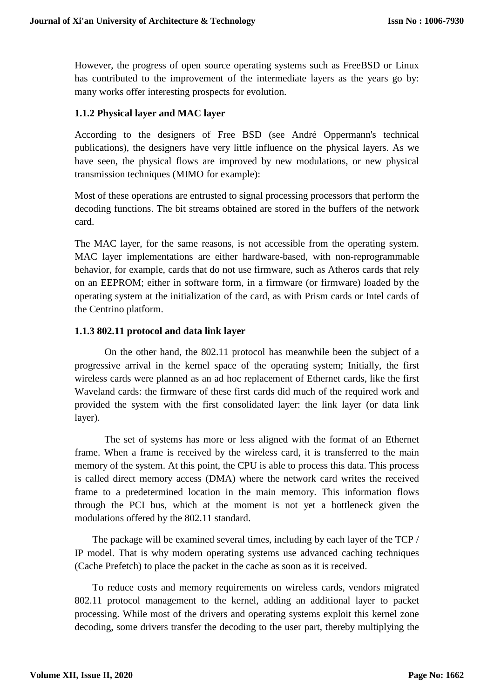However, the progress of open source operating systems such as FreeBSD or Linux has contributed to the improvement of the intermediate layers as the years go by: many works offer interesting prospects for evolution.

## **1.1.2 Physical layer and MAC layer**

According to the designers of Free BSD (see André Oppermann's technical publications), the designers have very little influence on the physical layers. As we have seen, the physical flows are improved by new modulations, or new physical transmission techniques (MIMO for example):

Most of these operations are entrusted to signal processing processors that perform the decoding functions. The bit streams obtained are stored in the buffers of the network card.

The MAC layer, for the same reasons, is not accessible from the operating system. MAC layer implementations are either hardware-based, with non-reprogrammable behavior, for example, cards that do not use firmware, such as Atheros cards that rely on an EEPROM; either in software form, in a firmware (or firmware) loaded by the operating system at the initialization of the card, as with Prism cards or Intel cards of the Centrino platform.

#### **1.1.3 802.11 protocol and data link layer**

On the other hand, the 802.11 protocol has meanwhile been the subject of a progressive arrival in the kernel space of the operating system; Initially, the first wireless cards were planned as an ad hoc replacement of Ethernet cards, like the first Waveland cards: the firmware of these first cards did much of the required work and provided the system with the first consolidated layer: the link layer (or data link layer).

The set of systems has more or less aligned with the format of an Ethernet frame. When a frame is received by the wireless card, it is transferred to the main memory of the system. At this point, the CPU is able to process this data. This process is called direct memory access (DMA) where the network card writes the received frame to a predetermined location in the main memory. This information flows through the PCI bus, which at the moment is not yet a bottleneck given the modulations offered by the 802.11 standard.

The package will be examined several times, including by each layer of the TCP / IP model. That is why modern operating systems use advanced caching techniques (Cache Prefetch) to place the packet in the cache as soon as it is received.

To reduce costs and memory requirements on wireless cards, vendors migrated 802.11 protocol management to the kernel, adding an additional layer to packet processing. While most of the drivers and operating systems exploit this kernel zone decoding, some drivers transfer the decoding to the user part, thereby multiplying the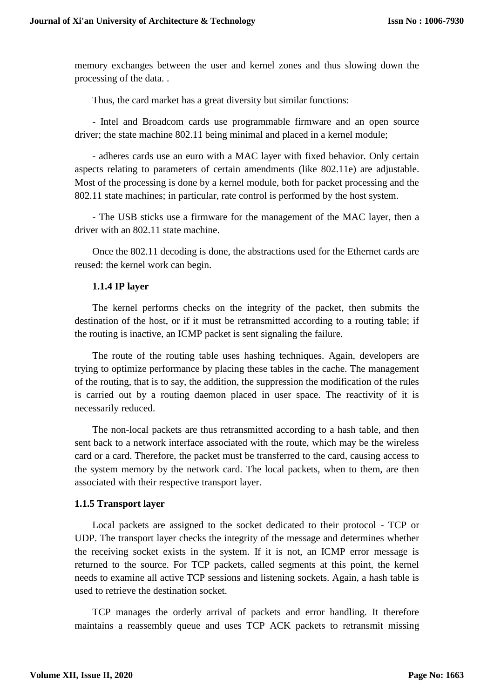memory exchanges between the user and kernel zones and thus slowing down the processing of the data. .

Thus, the card market has a great diversity but similar functions:

- Intel and Broadcom cards use programmable firmware and an open source driver; the state machine 802.11 being minimal and placed in a kernel module;

- adheres cards use an euro with a MAC layer with fixed behavior. Only certain aspects relating to parameters of certain amendments (like 802.11e) are adjustable. Most of the processing is done by a kernel module, both for packet processing and the 802.11 state machines; in particular, rate control is performed by the host system.

- The USB sticks use a firmware for the management of the MAC layer, then a driver with an 802.11 state machine.

Once the 802.11 decoding is done, the abstractions used for the Ethernet cards are reused: the kernel work can begin.

#### **1.1.4 IP layer**

The kernel performs checks on the integrity of the packet, then submits the destination of the host, or if it must be retransmitted according to a routing table; if the routing is inactive, an ICMP packet is sent signaling the failure.

The route of the routing table uses hashing techniques. Again, developers are trying to optimize performance by placing these tables in the cache. The management of the routing, that is to say, the addition, the suppression the modification of the rules is carried out by a routing daemon placed in user space. The reactivity of it is necessarily reduced.

The non-local packets are thus retransmitted according to a hash table, and then sent back to a network interface associated with the route, which may be the wireless card or a card. Therefore, the packet must be transferred to the card, causing access to the system memory by the network card. The local packets, when to them, are then associated with their respective transport layer.

#### **1.1.5 Transport layer**

Local packets are assigned to the socket dedicated to their protocol - TCP or UDP. The transport layer checks the integrity of the message and determines whether the receiving socket exists in the system. If it is not, an ICMP error message is returned to the source. For TCP packets, called segments at this point, the kernel needs to examine all active TCP sessions and listening sockets. Again, a hash table is used to retrieve the destination socket.

TCP manages the orderly arrival of packets and error handling. It therefore maintains a reassembly queue and uses TCP ACK packets to retransmit missing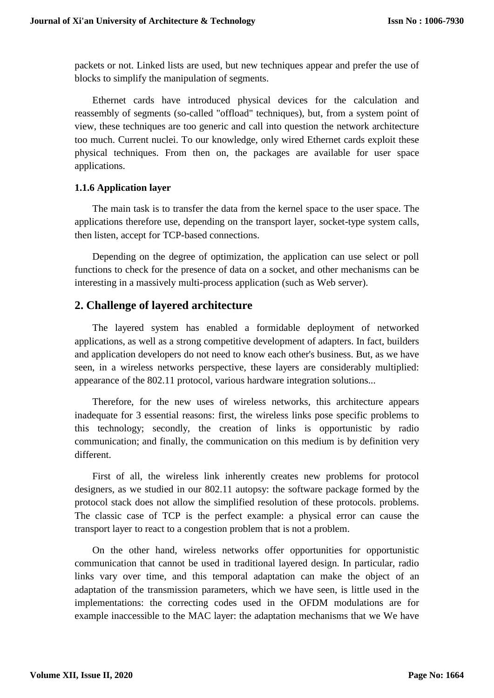packets or not. Linked lists are used, but new techniques appear and prefer the use of blocks to simplify the manipulation of segments.

Ethernet cards have introduced physical devices for the calculation and reassembly of segments (so-called "offload" techniques), but, from a system point of view, these techniques are too generic and call into question the network architecture too much. Current nuclei. To our knowledge, only wired Ethernet cards exploit these physical techniques. From then on, the packages are available for user space applications.

## **1.1.6 Application layer**

The main task is to transfer the data from the kernel space to the user space. The applications therefore use, depending on the transport layer, socket-type system calls, then listen, accept for TCP-based connections.

Depending on the degree of optimization, the application can use select or poll functions to check for the presence of data on a socket, and other mechanisms can be interesting in a massively multi-process application (such as Web server).

# **2. Challenge of layered architecture**

The layered system has enabled a formidable deployment of networked applications, as well as a strong competitive development of adapters. In fact, builders and application developers do not need to know each other's business. But, as we have seen, in a wireless networks perspective, these layers are considerably multiplied: appearance of the 802.11 protocol, various hardware integration solutions...

Therefore, for the new uses of wireless networks, this architecture appears inadequate for 3 essential reasons: first, the wireless links pose specific problems to this technology; secondly, the creation of links is opportunistic by radio communication; and finally, the communication on this medium is by definition very different.

First of all, the wireless link inherently creates new problems for protocol designers, as we studied in our 802.11 autopsy: the software package formed by the protocol stack does not allow the simplified resolution of these protocols. problems. The classic case of TCP is the perfect example: a physical error can cause the transport layer to react to a congestion problem that is not a problem.

On the other hand, wireless networks offer opportunities for opportunistic communication that cannot be used in traditional layered design. In particular, radio links vary over time, and this temporal adaptation can make the object of an adaptation of the transmission parameters, which we have seen, is little used in the implementations: the correcting codes used in the OFDM modulations are for example inaccessible to the MAC layer: the adaptation mechanisms that we We have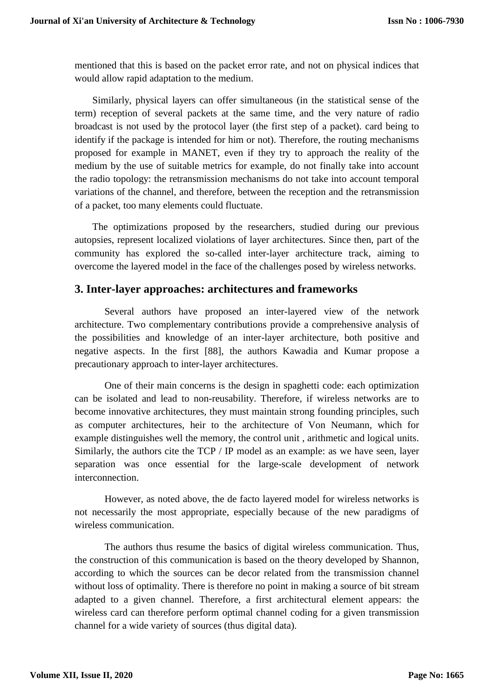mentioned that this is based on the packet error rate, and not on physical indices that would allow rapid adaptation to the medium.

Similarly, physical layers can offer simultaneous (in the statistical sense of the term) reception of several packets at the same time, and the very nature of radio broadcast is not used by the protocol layer (the first step of a packet). card being to identify if the package is intended for him or not). Therefore, the routing mechanisms proposed for example in MANET, even if they try to approach the reality of the medium by the use of suitable metrics for example, do not finally take into account the radio topology: the retransmission mechanisms do not take into account temporal variations of the channel, and therefore, between the reception and the retransmission of a packet, too many elements could fluctuate.

The optimizations proposed by the researchers, studied during our previous autopsies, represent localized violations of layer architectures. Since then, part of the community has explored the so-called inter-layer architecture track, aiming to overcome the layered model in the face of the challenges posed by wireless networks.

# **3. Inter-layer approaches: architectures and frameworks**

Several authors have proposed an inter-layered view of the network architecture. Two complementary contributions provide a comprehensive analysis of the possibilities and knowledge of an inter-layer architecture, both positive and negative aspects. In the first [88], the authors Kawadia and Kumar propose a precautionary approach to inter-layer architectures.

One of their main concerns is the design in spaghetti code: each optimization can be isolated and lead to non-reusability. Therefore, if wireless networks are to become innovative architectures, they must maintain strong founding principles, such as computer architectures, heir to the architecture of Von Neumann, which for example distinguishes well the memory, the control unit , arithmetic and logical units. Similarly, the authors cite the TCP / IP model as an example: as we have seen, layer separation was once essential for the large-scale development of network interconnection.

However, as noted above, the de facto layered model for wireless networks is not necessarily the most appropriate, especially because of the new paradigms of wireless communication.

The authors thus resume the basics of digital wireless communication. Thus, the construction of this communication is based on the theory developed by Shannon, according to which the sources can be decor related from the transmission channel without loss of optimality. There is therefore no point in making a source of bit stream adapted to a given channel. Therefore, a first architectural element appears: the wireless card can therefore perform optimal channel coding for a given transmission channel for a wide variety of sources (thus digital data).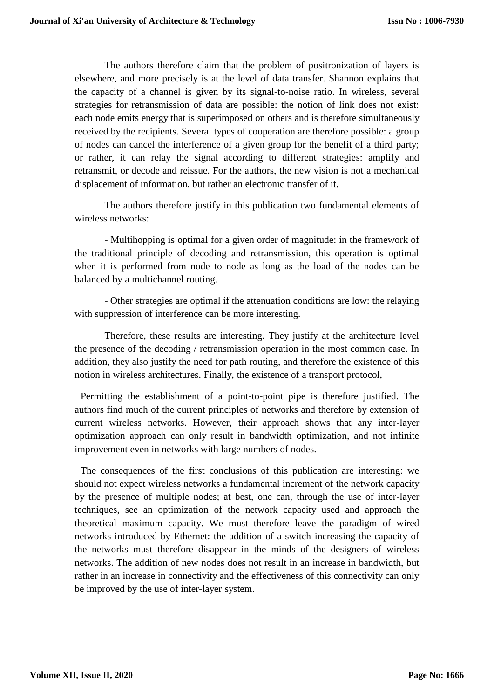The authors therefore claim that the problem of positronization of layers is elsewhere, and more precisely is at the level of data transfer. Shannon explains that the capacity of a channel is given by its signal-to-noise ratio. In wireless, several strategies for retransmission of data are possible: the notion of link does not exist: each node emits energy that is superimposed on others and is therefore simultaneously received by the recipients. Several types of cooperation are therefore possible: a group of nodes can cancel the interference of a given group for the benefit of a third party; or rather, it can relay the signal according to different strategies: amplify and retransmit, or decode and reissue. For the authors, the new vision is not a mechanical displacement of information, but rather an electronic transfer of it.

The authors therefore justify in this publication two fundamental elements of wireless networks:

- Multihopping is optimal for a given order of magnitude: in the framework of the traditional principle of decoding and retransmission, this operation is optimal when it is performed from node to node as long as the load of the nodes can be balanced by a multichannel routing.

- Other strategies are optimal if the attenuation conditions are low: the relaying with suppression of interference can be more interesting.

Therefore, these results are interesting. They justify at the architecture level the presence of the decoding / retransmission operation in the most common case. In addition, they also justify the need for path routing, and therefore the existence of this notion in wireless architectures. Finally, the existence of a transport protocol,

Permitting the establishment of a point-to-point pipe is therefore justified. The authors find much of the current principles of networks and therefore by extension of current wireless networks. However, their approach shows that any inter-layer optimization approach can only result in bandwidth optimization, and not infinite improvement even in networks with large numbers of nodes.

The consequences of the first conclusions of this publication are interesting: we should not expect wireless networks a fundamental increment of the network capacity by the presence of multiple nodes; at best, one can, through the use of inter-layer techniques, see an optimization of the network capacity used and approach the theoretical maximum capacity. We must therefore leave the paradigm of wired networks introduced by Ethernet: the addition of a switch increasing the capacity of the networks must therefore disappear in the minds of the designers of wireless networks. The addition of new nodes does not result in an increase in bandwidth, but rather in an increase in connectivity and the effectiveness of this connectivity can only be improved by the use of inter-layer system.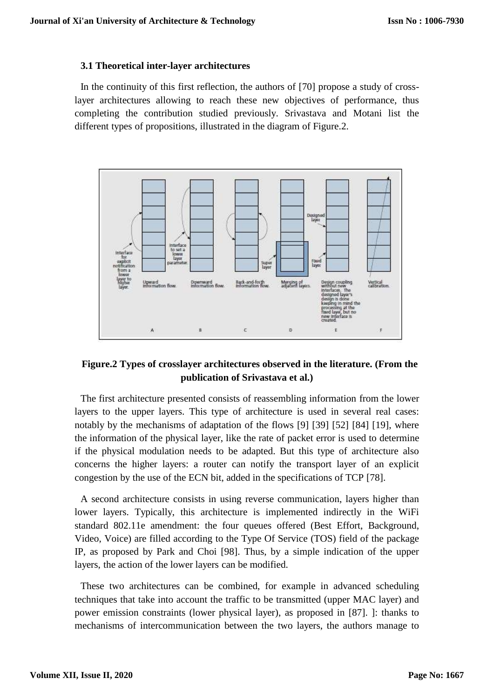#### **3.1 Theoretical inter-layer architectures**

In the continuity of this first reflection, the authors of [70] propose a study of crosslayer architectures allowing to reach these new objectives of performance, thus completing the contribution studied previously. Srivastava and Motani list the different types of propositions, illustrated in the diagram of Figure.2.



# **Figure.2 Types of crosslayer architectures observed in the literature. (From the publication of Srivastava et al.)**

The first architecture presented consists of reassembling information from the lower layers to the upper layers. This type of architecture is used in several real cases: notably by the mechanisms of adaptation of the flows [9] [39] [52] [84] [19], where the information of the physical layer, like the rate of packet error is used to determine if the physical modulation needs to be adapted. But this type of architecture also concerns the higher layers: a router can notify the transport layer of an explicit congestion by the use of the ECN bit, added in the specifications of TCP [78].

A second architecture consists in using reverse communication, layers higher than lower layers. Typically, this architecture is implemented indirectly in the WiFi standard 802.11e amendment: the four queues offered (Best Effort, Background, Video, Voice) are filled according to the Type Of Service (TOS) field of the package IP, as proposed by Park and Choi [98]. Thus, by a simple indication of the upper layers, the action of the lower layers can be modified.

These two architectures can be combined, for example in advanced scheduling techniques that take into account the traffic to be transmitted (upper MAC layer) and power emission constraints (lower physical layer), as proposed in [87]. ]: thanks to mechanisms of intercommunication between the two layers, the authors manage to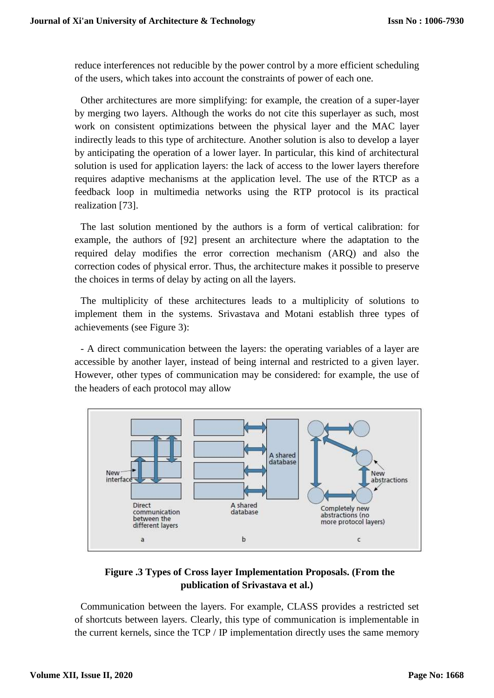reduce interferences not reducible by the power control by a more efficient scheduling of the users, which takes into account the constraints of power of each one.

Other architectures are more simplifying: for example, the creation of a super-layer by merging two layers. Although the works do not cite this superlayer as such, most work on consistent optimizations between the physical layer and the MAC layer indirectly leads to this type of architecture. Another solution is also to develop a layer by anticipating the operation of a lower layer. In particular, this kind of architectural solution is used for application layers: the lack of access to the lower layers therefore requires adaptive mechanisms at the application level. The use of the RTCP as a feedback loop in multimedia networks using the RTP protocol is its practical realization [73].

The last solution mentioned by the authors is a form of vertical calibration: for example, the authors of [92] present an architecture where the adaptation to the required delay modifies the error correction mechanism (ARQ) and also the correction codes of physical error. Thus, the architecture makes it possible to preserve the choices in terms of delay by acting on all the layers.

The multiplicity of these architectures leads to a multiplicity of solutions to implement them in the systems. Srivastava and Motani establish three types of achievements (see Figure 3):

- A direct communication between the layers: the operating variables of a layer are accessible by another layer, instead of being internal and restricted to a given layer. However, other types of communication may be considered: for example, the use of the headers of each protocol may allow



# **Figure .3 Types of Cross layer Implementation Proposals. (From the publication of Srivastava et al.)**

Communication between the layers. For example, CLASS provides a restricted set of shortcuts between layers. Clearly, this type of communication is implementable in the current kernels, since the TCP / IP implementation directly uses the same memory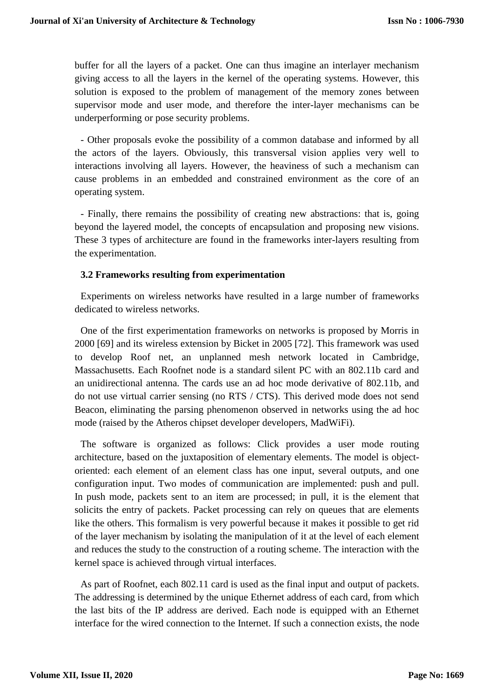buffer for all the layers of a packet. One can thus imagine an interlayer mechanism giving access to all the layers in the kernel of the operating systems. However, this solution is exposed to the problem of management of the memory zones between supervisor mode and user mode, and therefore the inter-layer mechanisms can be underperforming or pose security problems.

- Other proposals evoke the possibility of a common database and informed by all the actors of the layers. Obviously, this transversal vision applies very well to interactions involving all layers. However, the heaviness of such a mechanism can cause problems in an embedded and constrained environment as the core of an operating system.

- Finally, there remains the possibility of creating new abstractions: that is, going beyond the layered model, the concepts of encapsulation and proposing new visions. These 3 types of architecture are found in the frameworks inter-layers resulting from the experimentation.

## **3.2 Frameworks resulting from experimentation**

Experiments on wireless networks have resulted in a large number of frameworks dedicated to wireless networks.

One of the first experimentation frameworks on networks is proposed by Morris in 2000 [69] and its wireless extension by Bicket in 2005 [72]. This framework was used to develop Roof net, an unplanned mesh network located in Cambridge, Massachusetts. Each Roofnet node is a standard silent PC with an 802.11b card and an unidirectional antenna. The cards use an ad hoc mode derivative of 802.11b, and do not use virtual carrier sensing (no RTS / CTS). This derived mode does not send Beacon, eliminating the parsing phenomenon observed in networks using the ad hoc mode (raised by the Atheros chipset developer developers, MadWiFi).

The software is organized as follows: Click provides a user mode routing architecture, based on the juxtaposition of elementary elements. The model is objectoriented: each element of an element class has one input, several outputs, and one configuration input. Two modes of communication are implemented: push and pull. In push mode, packets sent to an item are processed; in pull, it is the element that solicits the entry of packets. Packet processing can rely on queues that are elements like the others. This formalism is very powerful because it makes it possible to get rid of the layer mechanism by isolating the manipulation of it at the level of each element and reduces the study to the construction of a routing scheme. The interaction with the kernel space is achieved through virtual interfaces.

As part of Roofnet, each 802.11 card is used as the final input and output of packets. The addressing is determined by the unique Ethernet address of each card, from which the last bits of the IP address are derived. Each node is equipped with an Ethernet interface for the wired connection to the Internet. If such a connection exists, the node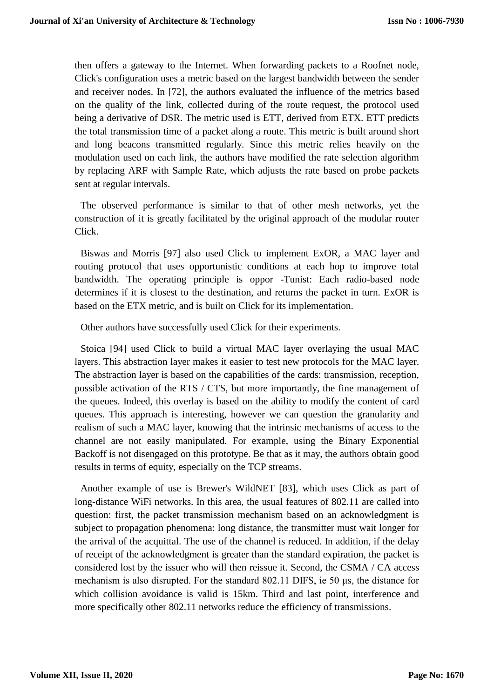then offers a gateway to the Internet. When forwarding packets to a Roofnet node, Click's configuration uses a metric based on the largest bandwidth between the sender and receiver nodes. In [72], the authors evaluated the influence of the metrics based on the quality of the link, collected during of the route request, the protocol used being a derivative of DSR. The metric used is ETT, derived from ETX. ETT predicts the total transmission time of a packet along a route. This metric is built around short and long beacons transmitted regularly. Since this metric relies heavily on the modulation used on each link, the authors have modified the rate selection algorithm by replacing ARF with Sample Rate, which adjusts the rate based on probe packets sent at regular intervals.

The observed performance is similar to that of other mesh networks, yet the construction of it is greatly facilitated by the original approach of the modular router Click.

Biswas and Morris [97] also used Click to implement ExOR, a MAC layer and routing protocol that uses opportunistic conditions at each hop to improve total bandwidth. The operating principle is oppor -Tunist: Each radio-based node determines if it is closest to the destination, and returns the packet in turn. ExOR is based on the ETX metric, and is built on Click for its implementation.

Other authors have successfully used Click for their experiments.

Stoica [94] used Click to build a virtual MAC layer overlaying the usual MAC layers. This abstraction layer makes it easier to test new protocols for the MAC layer. The abstraction layer is based on the capabilities of the cards: transmission, reception, possible activation of the RTS / CTS, but more importantly, the fine management of the queues. Indeed, this overlay is based on the ability to modify the content of card queues. This approach is interesting, however we can question the granularity and realism of such a MAC layer, knowing that the intrinsic mechanisms of access to the channel are not easily manipulated. For example, using the Binary Exponential Backoff is not disengaged on this prototype. Be that as it may, the authors obtain good results in terms of equity, especially on the TCP streams.

Another example of use is Brewer's WildNET [83], which uses Click as part of long-distance WiFi networks. In this area, the usual features of 802.11 are called into question: first, the packet transmission mechanism based on an acknowledgment is subject to propagation phenomena: long distance, the transmitter must wait longer for the arrival of the acquittal. The use of the channel is reduced. In addition, if the delay of receipt of the acknowledgment is greater than the standard expiration, the packet is considered lost by the issuer who will then reissue it. Second, the CSMA / CA access mechanism is also disrupted. For the standard 802.11 DIFS, ie 50 μs, the distance for which collision avoidance is valid is 15km. Third and last point, interference and more specifically other 802.11 networks reduce the efficiency of transmissions.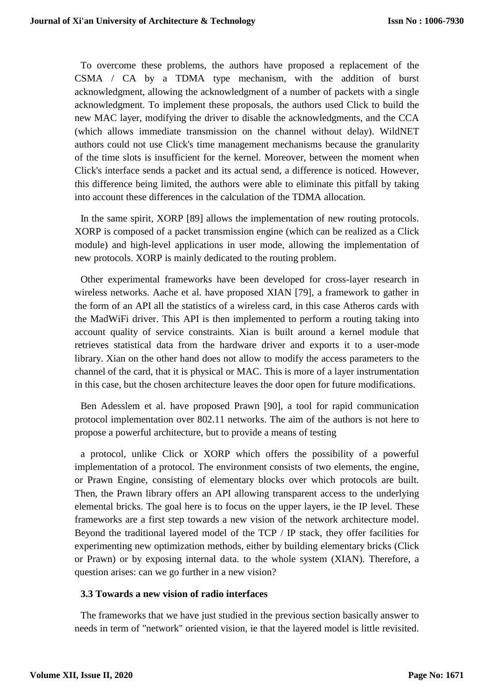To overcome these problems, the authors have proposed a replacement of the CSMA / CA by a TDMA type mechanism, with the addition of burst acknowledgment, allowing the acknowledgment of a number of packets with a single acknowledgment. To implement these proposals, the authors used Click to build the new MAC layer, modifying the driver to disable the acknowledgments, and the CCA (which allows immediate transmission on the channel without delay). WildNET authors could not use Click's time management mechanisms because the granularity of the time slots is insufficient for the kernel. Moreover, between the moment when Click's interface sends a packet and its actual send, a difference is noticed. However, this difference being limited, the authors were able to eliminate this pitfall by taking into account these differences in the calculation of the TDMA allocation.

In the same spirit, XORP [89] allows the implementation of new routing protocols. XORP is composed of a packet transmission engine (which can be realized as a Click module) and high-level applications in user mode, allowing the implementation of new protocols. XORP is mainly dedicated to the routing problem.

Other experimental frameworks have been developed for cross-layer research in wireless networks. Aache et al. have proposed XIAN [79], a framework to gather in the form of an API all the statistics of a wireless card, in this case Atheros cards with the MadWiFi driver. This API is then implemented to perform a routing taking into account quality of service constraints. Xian is built around a kernel module that retrieves statistical data from the hardware driver and exports it to a user-mode library. Xian on the other hand does not allow to modify the access parameters to the channel of the card, that it is physical or MAC. This is more of a layer instrumentation in this case, but the chosen architecture leaves the door open for future modifications.

Ben Adesslem et al. have proposed Prawn [90], a tool for rapid communication protocol implementation over 802.11 networks. The aim of the authors is not here to propose a powerful architecture, but to provide a means of testing

a protocol, unlike Click or XORP which offers the possibility of a powerful implementation of a protocol. The environment consists of two elements, the engine, or Prawn Engine, consisting of elementary blocks over which protocols are built. Then, the Prawn library offers an API allowing transparent access to the underlying elemental bricks. The goal here is to focus on the upper layers, ie the IP level. These frameworks are a first step towards a new vision of the network architecture model. Beyond the traditional layered model of the TCP / IP stack, they offer facilities for experimenting new optimization methods, either by building elementary bricks (Click or Prawn) or by exposing internal data. to the whole system (XIAN). Therefore, a question arises: can we go further in a new vision?

#### **3.3 Towards a new vision of radio interfaces**

The frameworks that we have just studied in the previous section basically answer to needs in term of "network" oriented vision, ie that the layered model is little revisited.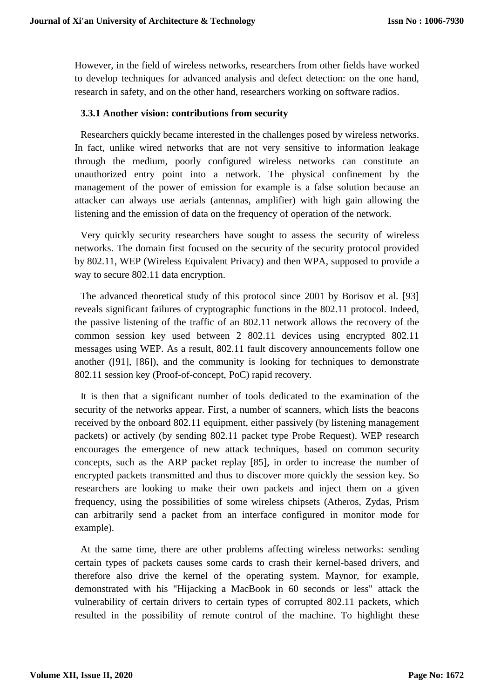However, in the field of wireless networks, researchers from other fields have worked to develop techniques for advanced analysis and defect detection: on the one hand, research in safety, and on the other hand, researchers working on software radios.

#### **3.3.1 Another vision: contributions from security**

Researchers quickly became interested in the challenges posed by wireless networks. In fact, unlike wired networks that are not very sensitive to information leakage through the medium, poorly configured wireless networks can constitute an unauthorized entry point into a network. The physical confinement by the management of the power of emission for example is a false solution because an attacker can always use aerials (antennas, amplifier) with high gain allowing the listening and the emission of data on the frequency of operation of the network.

Very quickly security researchers have sought to assess the security of wireless networks. The domain first focused on the security of the security protocol provided by 802.11, WEP (Wireless Equivalent Privacy) and then WPA, supposed to provide a way to secure 802.11 data encryption.

The advanced theoretical study of this protocol since 2001 by Borisov et al. [93] reveals significant failures of cryptographic functions in the 802.11 protocol. Indeed, the passive listening of the traffic of an 802.11 network allows the recovery of the common session key used between 2 802.11 devices using encrypted 802.11 messages using WEP. As a result, 802.11 fault discovery announcements follow one another ([91], [86]), and the community is looking for techniques to demonstrate 802.11 session key (Proof-of-concept, PoC) rapid recovery.

It is then that a significant number of tools dedicated to the examination of the security of the networks appear. First, a number of scanners, which lists the beacons received by the onboard 802.11 equipment, either passively (by listening management packets) or actively (by sending 802.11 packet type Probe Request). WEP research encourages the emergence of new attack techniques, based on common security concepts, such as the ARP packet replay [85], in order to increase the number of encrypted packets transmitted and thus to discover more quickly the session key. So researchers are looking to make their own packets and inject them on a given frequency, using the possibilities of some wireless chipsets (Atheros, Zydas, Prism can arbitrarily send a packet from an interface configured in monitor mode for example).

At the same time, there are other problems affecting wireless networks: sending certain types of packets causes some cards to crash their kernel-based drivers, and therefore also drive the kernel of the operating system. Maynor, for example, demonstrated with his "Hijacking a MacBook in 60 seconds or less" attack the vulnerability of certain drivers to certain types of corrupted 802.11 packets, which resulted in the possibility of remote control of the machine. To highlight these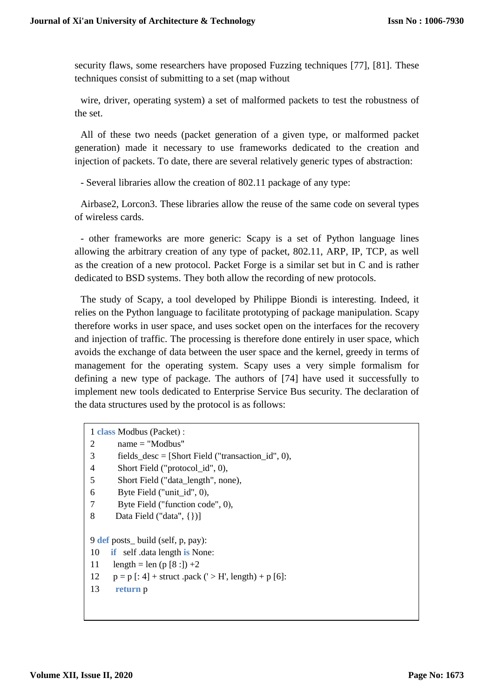security flaws, some researchers have proposed Fuzzing techniques [77], [81]. These techniques consist of submitting to a set (map without

wire, driver, operating system) a set of malformed packets to test the robustness of the set.

All of these two needs (packet generation of a given type, or malformed packet generation) made it necessary to use frameworks dedicated to the creation and injection of packets. To date, there are several relatively generic types of abstraction:

- Several libraries allow the creation of 802.11 package of any type:

Airbase2, Lorcon3. These libraries allow the reuse of the same code on several types of wireless cards.

- other frameworks are more generic: Scapy is a set of Python language lines allowing the arbitrary creation of any type of packet, 802.11, ARP, IP, TCP, as well as the creation of a new protocol. Packet Forge is a similar set but in C and is rather dedicated to BSD systems. They both allow the recording of new protocols.

The study of Scapy, a tool developed by Philippe Biondi is interesting. Indeed, it relies on the Python language to facilitate prototyping of package manipulation. Scapy therefore works in user space, and uses socket open on the interfaces for the recovery and injection of traffic. The processing is therefore done entirely in user space, which avoids the exchange of data between the user space and the kernel, greedy in terms of management for the operating system. Scapy uses a very simple formalism for defining a new type of package. The authors of [74] have used it successfully to implement new tools dedicated to Enterprise Service Bus security. The declaration of the data structures used by the protocol is as follows:

|                                   | 1 class Modbus (Packet) :                                    |  |  |  |  |
|-----------------------------------|--------------------------------------------------------------|--|--|--|--|
|                                   | 2<br>$name = "Modbus"$                                       |  |  |  |  |
|                                   | 3<br>fields_desc = $[Short Field ("transaction_id", 0),$     |  |  |  |  |
|                                   | $\overline{4}$<br>Short Field ("protocol_id", 0),            |  |  |  |  |
|                                   | 5<br>Short Field ("data_length", none),                      |  |  |  |  |
|                                   | Byte Field ("unit_id", 0),<br>6                              |  |  |  |  |
|                                   | 7<br>Byte Field ("function code", 0),                        |  |  |  |  |
|                                   | 8<br>Data Field ("data", $\{\})$ ]                           |  |  |  |  |
|                                   |                                                              |  |  |  |  |
| 9 def posts_build (self, p, pay): |                                                              |  |  |  |  |
|                                   | 10<br><b>if</b> self data length <b>is</b> None:             |  |  |  |  |
|                                   | 11<br>length = len (p [8 :]) +2                              |  |  |  |  |
|                                   | 12<br>$p = p$ [: 4] + struct .pack (' > H', length) + p [6]: |  |  |  |  |
|                                   | 13<br>return p                                               |  |  |  |  |
|                                   |                                                              |  |  |  |  |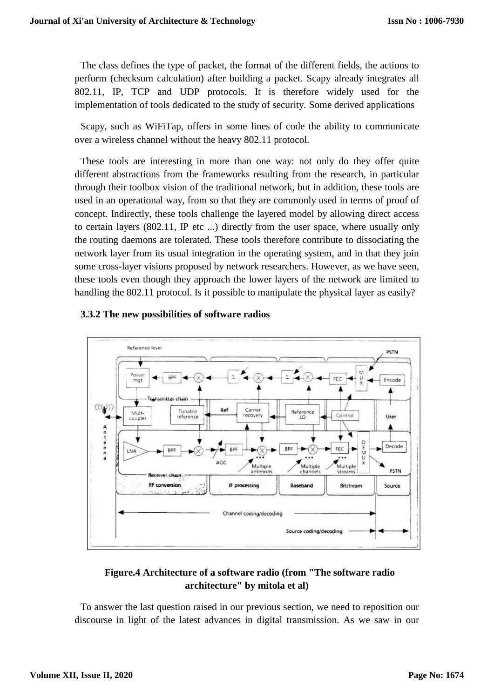The class defines the type of packet, the format of the different fields, the actions to perform (checksum calculation) after building a packet. Scapy already integrates all 802.11, IP, TCP and UDP protocols. It is therefore widely used for the implementation of tools dedicated to the study of security. Some derived applications

Scapy, such as WiFiTap, offers in some lines of code the ability to communicate over a wireless channel without the heavy 802.11 protocol.

These tools are interesting in more than one way: not only do they offer quite different abstractions from the frameworks resulting from the research, in particular through their toolbox vision of the traditional network, but in addition, these tools are used in an operational way, from so that they are commonly used in terms of proof of concept. Indirectly, these tools challenge the layered model by allowing direct access to certain layers (802.11, IP etc ...) directly from the user space, where usually only the routing daemons are tolerated. These tools therefore contribute to dissociating the network layer from its usual integration in the operating system, and in that they join some cross-layer visions proposed by network researchers. However, as we have seen, these tools even though they approach the lower layers of the network are limited to handling the 802.11 protocol. Is it possible to manipulate the physical layer as easily?





# **Figure.4 Architecture of a software radio (from "The software radio architecture" by mitola et al)**

To answer the last question raised in our previous section, we need to reposition our discourse in light of the latest advances in digital transmission. As we saw in our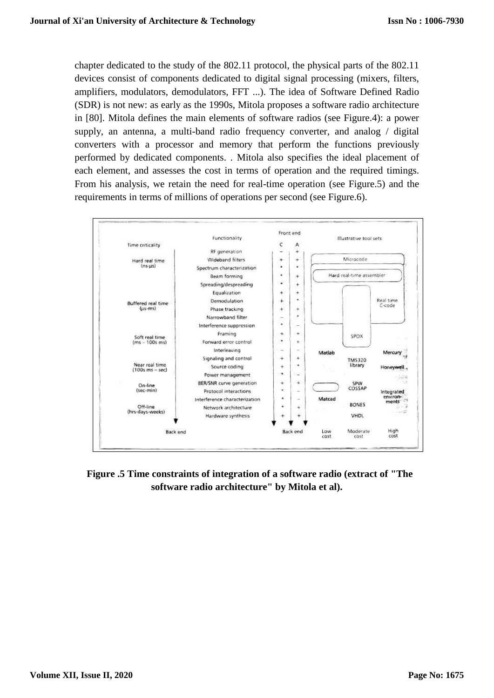chapter dedicated to the study of the 802.11 protocol, the physical parts of the 802.11 devices consist of components dedicated to digital signal processing (mixers, filters, amplifiers, modulators, demodulators, FFT ...). The idea of Software Defined Radio (SDR) is not new: as early as the 1990s, Mitola proposes a software radio architecture in [80]. Mitola defines the main elements of software radios (see Figure.4): a power supply, an antenna, a multi-band radio frequency converter, and analog / digital converters with a processor and memory that perform the functions previously performed by dedicated components. . Mitola also specifies the ideal placement of each element, and assesses the cost in terms of operation and the required timings. From his analysis, we retain the need for real-time operation (see Figure.5) and the requirements in terms of millions of operations per second (see Figure.6).



**Figure .5 Time constraints of integration of a software radio (extract of "The software radio architecture" by Mitola et al).**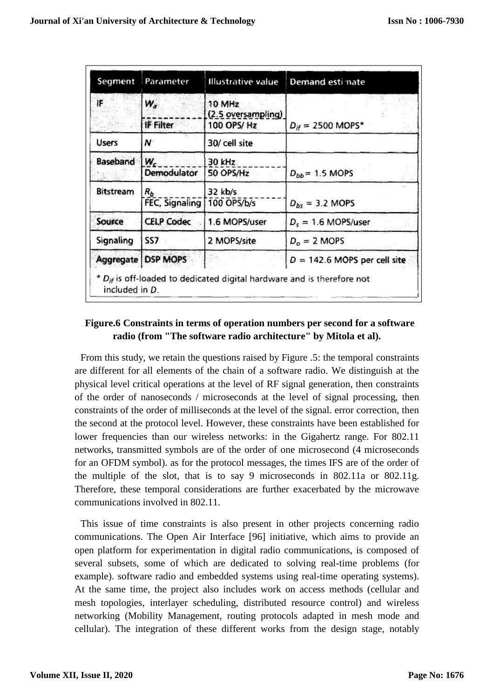|                  | Segment Parameter       | <b>Illustrative value</b>    | Demand esti nate               |
|------------------|-------------------------|------------------------------|--------------------------------|
| IF               | W.                      | 10 MHz<br>(2.5 oversampling) |                                |
|                  | IF Filter               | 100 OPS/Hz                   | $D_{if} = 2500$ MOPS*          |
| <b>Users</b>     | N                       | 30/ cell site                |                                |
| Baseband         | W,<br>Demodulator       | 30 kHz<br>50 OPS/Hz          | $D_{bb}$ = 1.5 MOPS            |
| <b>Bitstream</b> | $R_b$<br>FEC, Signaling | 32 kb/s<br>100 OPS/b/s       | $D_{bs} = 3.2$ MOPS            |
| Source           | <b>CELP Codec</b>       | 1.6 MOPS/user                | $D_s = 1.6$ MOPS/user          |
| Signaling        | SS7                     | 2 MOPS/site                  | $Do = 2$ MOPS                  |
|                  | Aggregate   DSP MOPS    |                              | $D = 142.6$ MOPS per cell site |

# **Figure.6 Constraints in terms of operation numbers per second for a software radio (from "The software radio architecture" by Mitola et al).**

From this study, we retain the questions raised by Figure .5: the temporal constraints are different for all elements of the chain of a software radio. We distinguish at the physical level critical operations at the level of RF signal generation, then constraints of the order of nanoseconds / microseconds at the level of signal processing, then constraints of the order of milliseconds at the level of the signal. error correction, then the second at the protocol level. However, these constraints have been established for lower frequencies than our wireless networks: in the Gigahertz range. For 802.11 networks, transmitted symbols are of the order of one microsecond (4 microseconds for an OFDM symbol). as for the protocol messages, the times IFS are of the order of the multiple of the slot, that is to say 9 microseconds in 802.11a or 802.11g. Therefore, these temporal considerations are further exacerbated by the microwave communications involved in 802.11.

This issue of time constraints is also present in other projects concerning radio communications. The Open Air Interface [96] initiative, which aims to provide an open platform for experimentation in digital radio communications, is composed of several subsets, some of which are dedicated to solving real-time problems (for example). software radio and embedded systems using real-time operating systems). At the same time, the project also includes work on access methods (cellular and mesh topologies, interlayer scheduling, distributed resource control) and wireless networking (Mobility Management, routing protocols adapted in mesh mode and cellular). The integration of these different works from the design stage, notably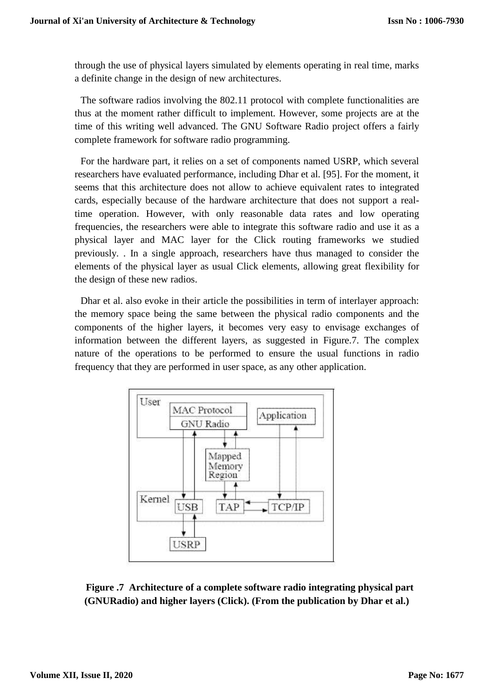through the use of physical layers simulated by elements operating in real time, marks a definite change in the design of new architectures.

The software radios involving the 802.11 protocol with complete functionalities are thus at the moment rather difficult to implement. However, some projects are at the time of this writing well advanced. The GNU Software Radio project offers a fairly complete framework for software radio programming.

For the hardware part, it relies on a set of components named USRP, which several researchers have evaluated performance, including Dhar et al. [95]. For the moment, it seems that this architecture does not allow to achieve equivalent rates to integrated cards, especially because of the hardware architecture that does not support a realtime operation. However, with only reasonable data rates and low operating frequencies, the researchers were able to integrate this software radio and use it as a physical layer and MAC layer for the Click routing frameworks we studied previously. . In a single approach, researchers have thus managed to consider the elements of the physical layer as usual Click elements, allowing great flexibility for the design of these new radios.

Dhar et al. also evoke in their article the possibilities in term of interlayer approach: the memory space being the same between the physical radio components and the components of the higher layers, it becomes very easy to envisage exchanges of information between the different layers, as suggested in Figure.7. The complex nature of the operations to be performed to ensure the usual functions in radio frequency that they are performed in user space, as any other application.



**Figure .7 Architecture of a complete software radio integrating physical part (GNURadio) and higher layers (Click). (From the publication by Dhar et al.)**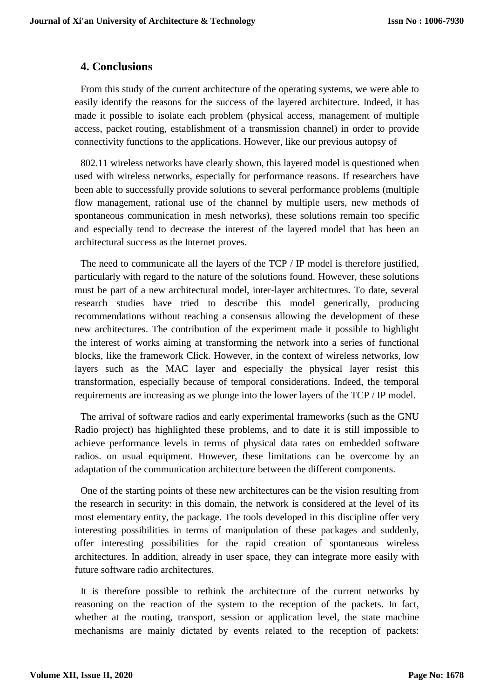# **4. Conclusions**

From this study of the current architecture of the operating systems, we were able to easily identify the reasons for the success of the layered architecture. Indeed, it has made it possible to isolate each problem (physical access, management of multiple access, packet routing, establishment of a transmission channel) in order to provide connectivity functions to the applications. However, like our previous autopsy of

802.11 wireless networks have clearly shown, this layered model is questioned when used with wireless networks, especially for performance reasons. If researchers have been able to successfully provide solutions to several performance problems (multiple flow management, rational use of the channel by multiple users, new methods of spontaneous communication in mesh networks), these solutions remain too specific and especially tend to decrease the interest of the layered model that has been an architectural success as the Internet proves.

The need to communicate all the layers of the TCP / IP model is therefore justified, particularly with regard to the nature of the solutions found. However, these solutions must be part of a new architectural model, inter-layer architectures. To date, several research studies have tried to describe this model generically, producing recommendations without reaching a consensus allowing the development of these new architectures. The contribution of the experiment made it possible to highlight the interest of works aiming at transforming the network into a series of functional blocks, like the framework Click. However, in the context of wireless networks, low layers such as the MAC layer and especially the physical layer resist this transformation, especially because of temporal considerations. Indeed, the temporal requirements are increasing as we plunge into the lower layers of the TCP / IP model.

The arrival of software radios and early experimental frameworks (such as the GNU Radio project) has highlighted these problems, and to date it is still impossible to achieve performance levels in terms of physical data rates on embedded software radios. on usual equipment. However, these limitations can be overcome by an adaptation of the communication architecture between the different components.

One of the starting points of these new architectures can be the vision resulting from the research in security: in this domain, the network is considered at the level of its most elementary entity, the package. The tools developed in this discipline offer very interesting possibilities in terms of manipulation of these packages and suddenly, offer interesting possibilities for the rapid creation of spontaneous wireless architectures. In addition, already in user space, they can integrate more easily with future software radio architectures.

It is therefore possible to rethink the architecture of the current networks by reasoning on the reaction of the system to the reception of the packets. In fact, whether at the routing, transport, session or application level, the state machine mechanisms are mainly dictated by events related to the reception of packets: